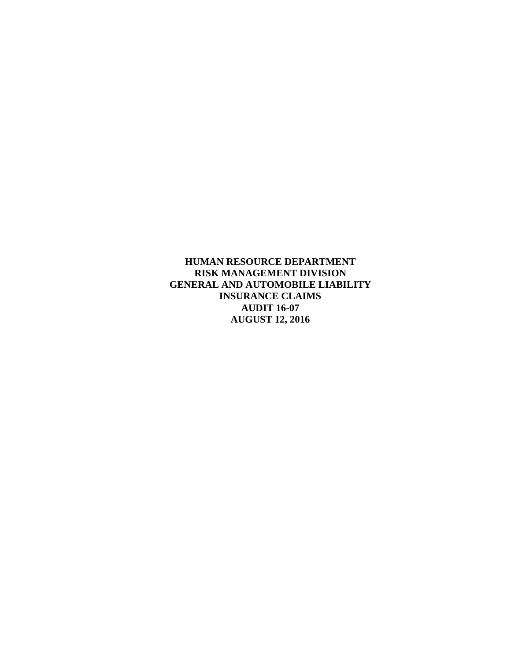**HUMAN RESOURCE DEPARTMENT RISK MANAGEMENT DIVISION GENERAL AND AUTOMOBILE LIABILITY INSURANCE CLAIMS AUDIT 16-07 AUGUST 12, 2016**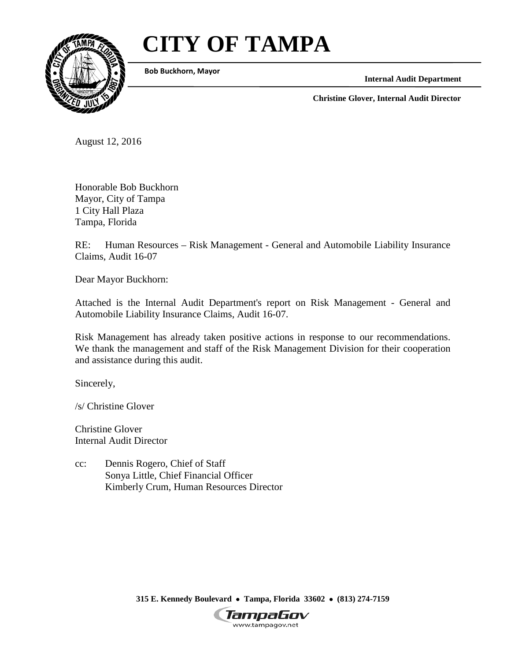# **CITY OF TAMPA**



**Bob Buckhorn, Mayor**

**Internal Audit Department**

**Christine Glover, Internal Audit Director**

August 12, 2016

Honorable Bob Buckhorn Mayor, City of Tampa 1 City Hall Plaza Tampa, Florida

RE: Human Resources – Risk Management - General and Automobile Liability Insurance Claims, Audit 16-07

Dear Mayor Buckhorn:

Attached is the Internal Audit Department's report on Risk Management - General and Automobile Liability Insurance Claims, Audit 16-07.

Risk Management has already taken positive actions in response to our recommendations. We thank the management and staff of the Risk Management Division for their cooperation and assistance during this audit.

Sincerely,

/s/ Christine Glover

Christine Glover Internal Audit Director

cc: Dennis Rogero, Chief of Staff Sonya Little, Chief Financial Officer Kimberly Crum, Human Resources Director

**315 E. Kennedy Boulevard** • **Tampa, Florida 33602** • **(813) 274-7159**

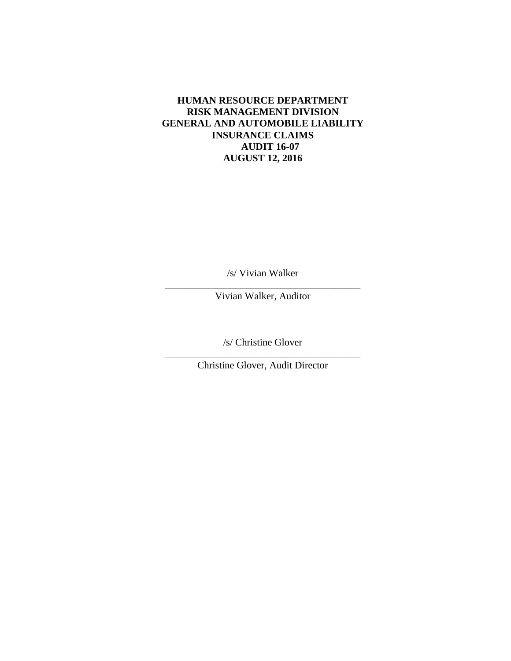# **HUMAN RESOURCE DEPARTMENT RISK MANAGEMENT DIVISION GENERAL AND AUTOMOBILE LIABILITY INSURANCE CLAIMS AUDIT 16-07 AUGUST 12, 2016**

/s/ Vivian Walker

\_\_\_\_\_\_\_\_\_\_\_\_\_\_\_\_\_\_\_\_\_\_\_\_\_\_\_\_\_\_\_\_\_\_\_\_\_\_\_ Vivian Walker, Auditor

/s/ Christine Glover

\_\_\_\_\_\_\_\_\_\_\_\_\_\_\_\_\_\_\_\_\_\_\_\_\_\_\_\_\_\_\_\_\_\_\_\_\_\_\_ Christine Glover, Audit Director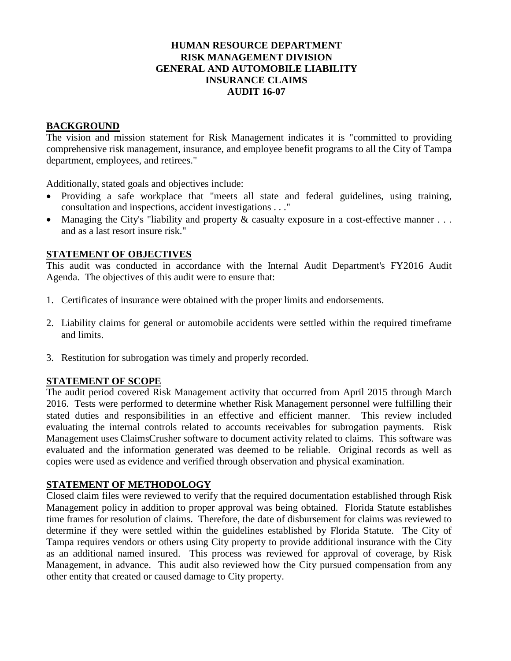# **HUMAN RESOURCE DEPARTMENT RISK MANAGEMENT DIVISION GENERAL AND AUTOMOBILE LIABILITY INSURANCE CLAIMS AUDIT 16-07**

# **BACKGROUND**

The vision and mission statement for Risk Management indicates it is "committed to providing comprehensive risk management, insurance, and employee benefit programs to all the City of Tampa department, employees, and retirees."

Additionally, stated goals and objectives include:

- Providing a safe workplace that "meets all state and federal guidelines, using training, consultation and inspections, accident investigations . . ."
- Managing the City's "liability and property  $\&$  casualty exposure in a cost-effective manner ... and as a last resort insure risk."

# **STATEMENT OF OBJECTIVES**

This audit was conducted in accordance with the Internal Audit Department's FY2016 Audit Agenda. The objectives of this audit were to ensure that:

- 1. Certificates of insurance were obtained with the proper limits and endorsements.
- 2. Liability claims for general or automobile accidents were settled within the required timeframe and limits.
- 3. Restitution for subrogation was timely and properly recorded.

#### **STATEMENT OF SCOPE**

The audit period covered Risk Management activity that occurred from April 2015 through March 2016. Tests were performed to determine whether Risk Management personnel were fulfilling their stated duties and responsibilities in an effective and efficient manner. This review included evaluating the internal controls related to accounts receivables for subrogation payments. Risk Management uses ClaimsCrusher software to document activity related to claims. This software was evaluated and the information generated was deemed to be reliable. Original records as well as copies were used as evidence and verified through observation and physical examination.

#### **STATEMENT OF METHODOLOGY**

Closed claim files were reviewed to verify that the required documentation established through Risk Management policy in addition to proper approval was being obtained. Florida Statute establishes time frames for resolution of claims. Therefore, the date of disbursement for claims was reviewed to determine if they were settled within the guidelines established by Florida Statute. The City of Tampa requires vendors or others using City property to provide additional insurance with the City as an additional named insured. This process was reviewed for approval of coverage, by Risk Management, in advance. This audit also reviewed how the City pursued compensation from any other entity that created or caused damage to City property.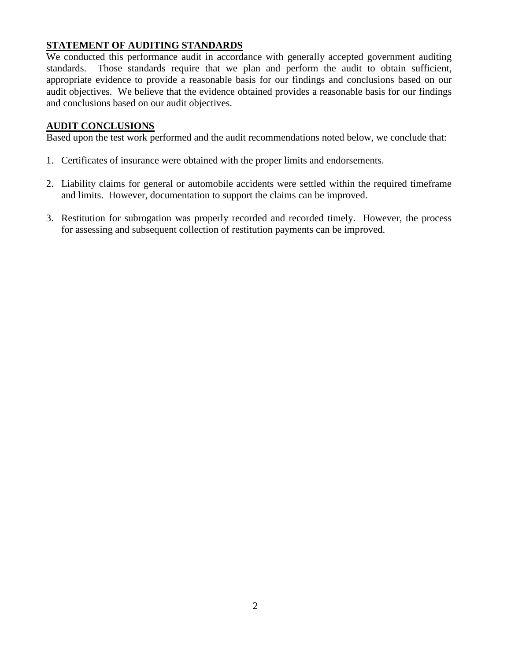# **STATEMENT OF AUDITING STANDARDS**

We conducted this performance audit in accordance with generally accepted government auditing standards. Those standards require that we plan and perform the audit to obtain sufficient, appropriate evidence to provide a reasonable basis for our findings and conclusions based on our audit objectives. We believe that the evidence obtained provides a reasonable basis for our findings and conclusions based on our audit objectives.

# **AUDIT CONCLUSIONS**

Based upon the test work performed and the audit recommendations noted below, we conclude that:

- 1. Certificates of insurance were obtained with the proper limits and endorsements.
- 2. Liability claims for general or automobile accidents were settled within the required timeframe and limits. However, documentation to support the claims can be improved.
- 3. Restitution for subrogation was properly recorded and recorded timely. However, the process for assessing and subsequent collection of restitution payments can be improved.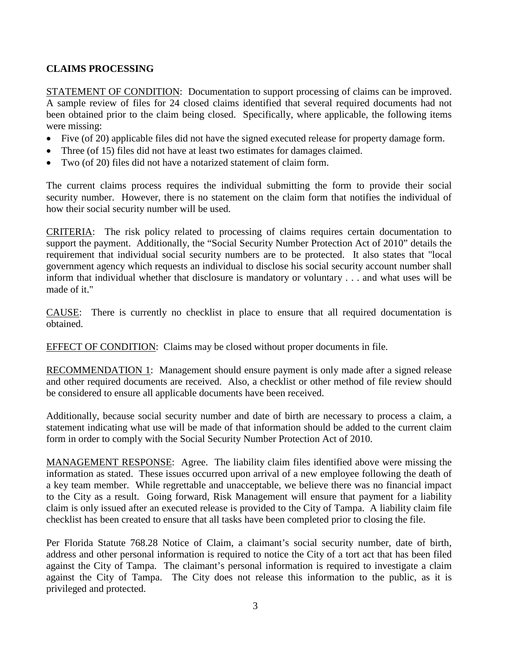# **CLAIMS PROCESSING**

STATEMENT OF CONDITION: Documentation to support processing of claims can be improved. A sample review of files for 24 closed claims identified that several required documents had not been obtained prior to the claim being closed. Specifically, where applicable, the following items were missing:

- Five (of 20) applicable files did not have the signed executed release for property damage form.
- Three (of 15) files did not have at least two estimates for damages claimed.
- Two (of 20) files did not have a notarized statement of claim form.

The current claims process requires the individual submitting the form to provide their social security number. However, there is no statement on the claim form that notifies the individual of how their social security number will be used.

CRITERIA: The risk policy related to processing of claims requires certain documentation to support the payment. Additionally, the "Social Security Number Protection Act of 2010" details the requirement that individual social security numbers are to be protected. It also states that "local government agency which requests an individual to disclose his social security account number shall inform that individual whether that disclosure is mandatory or voluntary . . . and what uses will be made of it."

CAUSE: There is currently no checklist in place to ensure that all required documentation is obtained.

EFFECT OF CONDITION: Claims may be closed without proper documents in file.

RECOMMENDATION 1: Management should ensure payment is only made after a signed release and other required documents are received. Also, a checklist or other method of file review should be considered to ensure all applicable documents have been received.

Additionally, because social security number and date of birth are necessary to process a claim, a statement indicating what use will be made of that information should be added to the current claim form in order to comply with the Social Security Number Protection Act of 2010.

MANAGEMENT RESPONSE: Agree. The liability claim files identified above were missing the information as stated. These issues occurred upon arrival of a new employee following the death of a key team member. While regrettable and unacceptable, we believe there was no financial impact to the City as a result. Going forward, Risk Management will ensure that payment for a liability claim is only issued after an executed release is provided to the City of Tampa. A liability claim file checklist has been created to ensure that all tasks have been completed prior to closing the file.

Per Florida Statute 768.28 Notice of Claim, a claimant's social security number, date of birth, address and other personal information is required to notice the City of a tort act that has been filed against the City of Tampa. The claimant's personal information is required to investigate a claim against the City of Tampa. The City does not release this information to the public, as it is privileged and protected.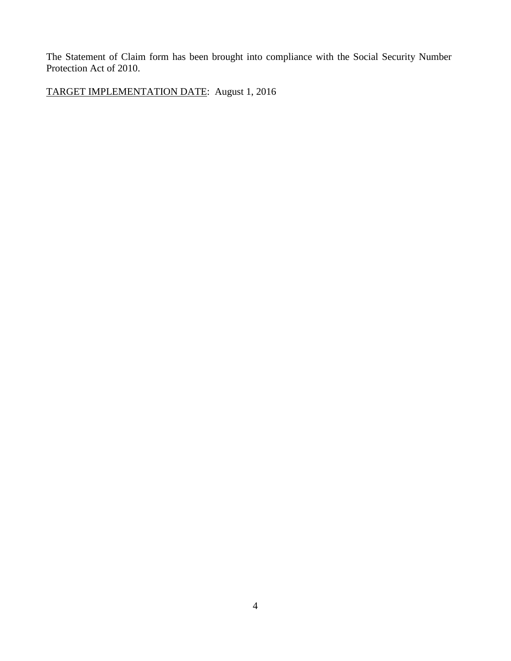The Statement of Claim form has been brought into compliance with the Social Security Number Protection Act of 2010.

TARGET IMPLEMENTATION DATE: August 1, 2016